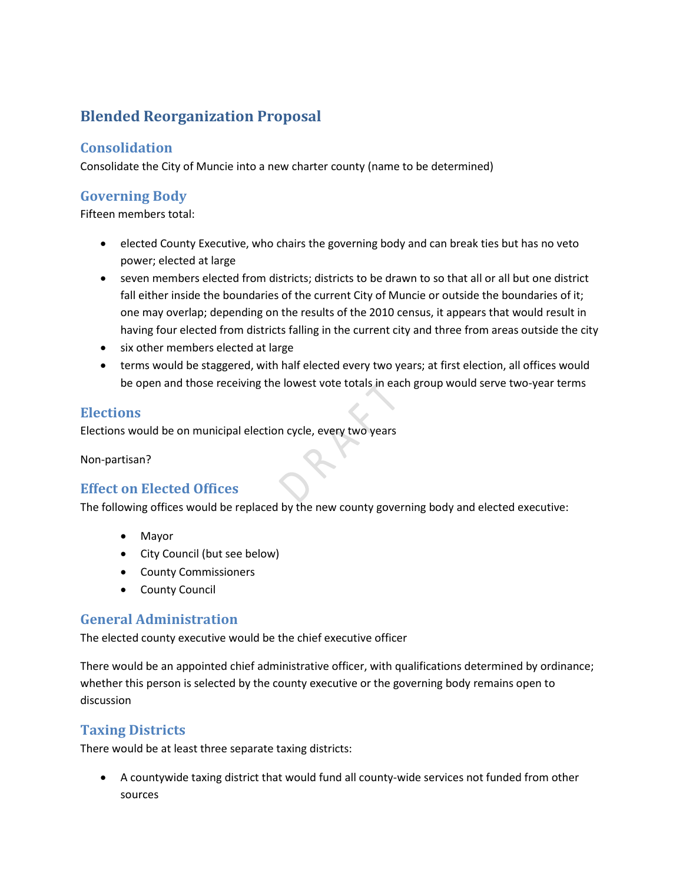# **Blended Reorganization Proposal**

## **Consolidation**

Consolidate the City of Muncie into a new charter county (name to be determined)

#### **Governing Body**

Fifteen members total:

- elected County Executive, who chairs the governing body and can break ties but has no veto power; elected at large
- seven members elected from districts; districts to be drawn to so that all or all but one district fall either inside the boundaries of the current City of Muncie or outside the boundaries of it; one may overlap; depending on the results of the 2010 census, it appears that would result in having four elected from districts falling in the current city and three from areas outside the city
- six other members elected at large
- terms would be staggered, with half elected every two years; at first election, all offices would be open and those receiving the lowest vote totals in each group would serve two-year terms

#### **Elections**

Elections would be on municipal election cycle, every two years

Non-partisan?

# **Effect on Elected Offices**

The following offices would be replaced by the new county governing body and elected executive:

- Mayor
- City Council (but see below)
- County Commissioners
- County Council

#### **General Administration**

The elected county executive would be the chief executive officer

There would be an appointed chief administrative officer, with qualifications determined by ordinance; whether this person is selected by the county executive or the governing body remains open to discussion

# **Taxing Districts**

There would be at least three separate taxing districts:

• A countywide taxing district that would fund all county-wide services not funded from other sources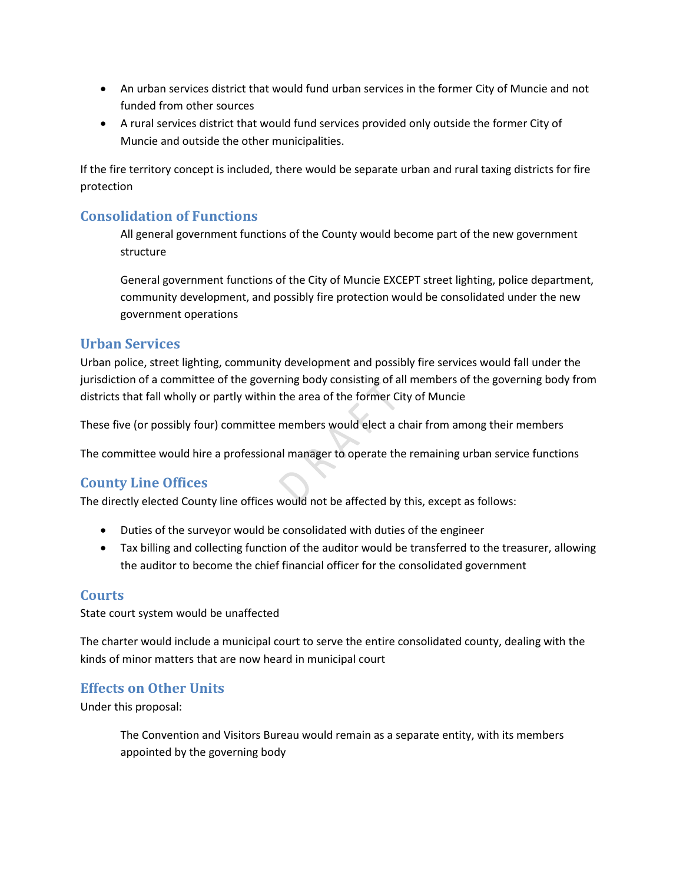- An urban services district that would fund urban services in the former City of Muncie and not funded from other sources
- A rural services district that would fund services provided only outside the former City of Muncie and outside the other municipalities.

If the fire territory concept is included, there would be separate urban and rural taxing districts for fire protection

# **Consolidation of Functions**

All general government functions of the County would become part of the new government structure

General government functions of the City of Muncie EXCEPT street lighting, police department, community development, and possibly fire protection would be consolidated under the new government operations

#### **Urban Services**

Urban police, street lighting, community development and possibly fire services would fall under the jurisdiction of a committee of the governing body consisting of all members of the governing body from districts that fall wholly or partly within the area of the former City of Muncie

These five (or possibly four) committee members would elect a chair from among their members

The committee would hire a professional manager to operate the remaining urban service functions

#### **County Line Offices**

The directly elected County line offices would not be affected by this, except as follows:

- Duties of the surveyor would be consolidated with duties of the engineer
- Tax billing and collecting function of the auditor would be transferred to the treasurer, allowing the auditor to become the chief financial officer for the consolidated government

#### **Courts**

State court system would be unaffected

The charter would include a municipal court to serve the entire consolidated county, dealing with the kinds of minor matters that are now heard in municipal court

#### **Effects on Other Units**

Under this proposal:

The Convention and Visitors Bureau would remain as a separate entity, with its members appointed by the governing body